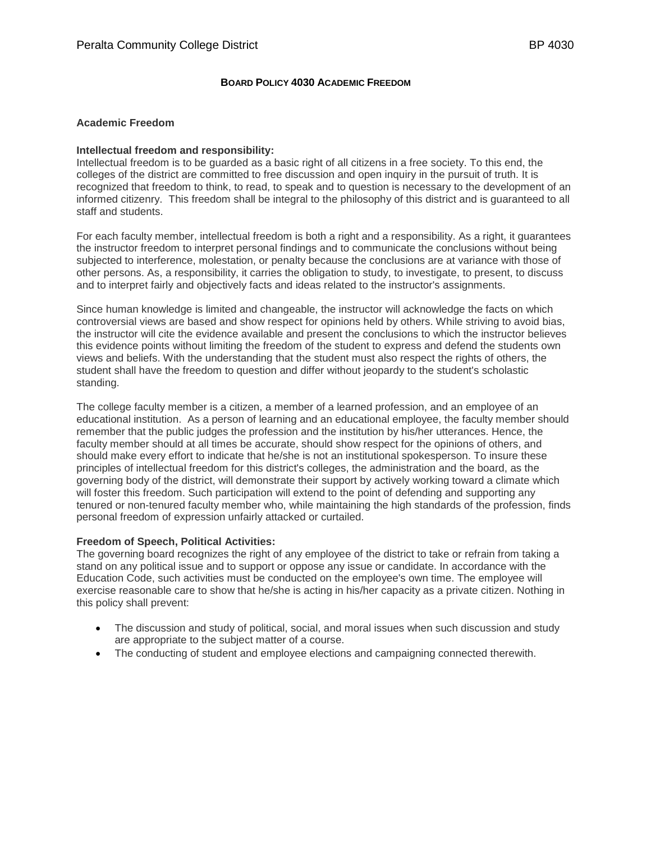# **BOARD POLICY 4030 ACADEMIC FREEDOM**

## **Academic Freedom**

### **Intellectual freedom and responsibility:**

Intellectual freedom is to be guarded as a basic right of all citizens in a free society. To this end, the colleges of the district are committed to free discussion and open inquiry in the pursuit of truth. It is recognized that freedom to think, to read, to speak and to question is necessary to the development of an informed citizenry. This freedom shall be integral to the philosophy of this district and is guaranteed to all staff and students.

For each faculty member, intellectual freedom is both a right and a responsibility. As a right, it guarantees the instructor freedom to interpret personal findings and to communicate the conclusions without being subjected to interference, molestation, or penalty because the conclusions are at variance with those of other persons. As, a responsibility, it carries the obligation to study, to investigate, to present, to discuss and to interpret fairly and objectively facts and ideas related to the instructor's assignments.

Since human knowledge is limited and changeable, the instructor will acknowledge the facts on which controversial views are based and show respect for opinions held by others. While striving to avoid bias, the instructor will cite the evidence available and present the conclusions to which the instructor believes this evidence points without limiting the freedom of the student to express and defend the students own views and beliefs. With the understanding that the student must also respect the rights of others, the student shall have the freedom to question and differ without jeopardy to the student's scholastic standing.

The college faculty member is a citizen, a member of a learned profession, and an employee of an educational institution. As a person of learning and an educational employee, the faculty member should remember that the public judges the profession and the institution by his/her utterances. Hence, the faculty member should at all times be accurate, should show respect for the opinions of others, and should make every effort to indicate that he/she is not an institutional spokesperson. To insure these principles of intellectual freedom for this district's colleges, the administration and the board, as the governing body of the district, will demonstrate their support by actively working toward a climate which will foster this freedom. Such participation will extend to the point of defending and supporting any tenured or non-tenured faculty member who, while maintaining the high standards of the profession, finds personal freedom of expression unfairly attacked or curtailed.

### **Freedom of Speech, Political Activities:**

The governing board recognizes the right of any employee of the district to take or refrain from taking a stand on any political issue and to support or oppose any issue or candidate. In accordance with the Education Code, such activities must be conducted on the employee's own time. The employee will exercise reasonable care to show that he/she is acting in his/her capacity as a private citizen. Nothing in this policy shall prevent:

- The discussion and study of political, social, and moral issues when such discussion and study are appropriate to the subject matter of a course.
- The conducting of student and employee elections and campaigning connected therewith.